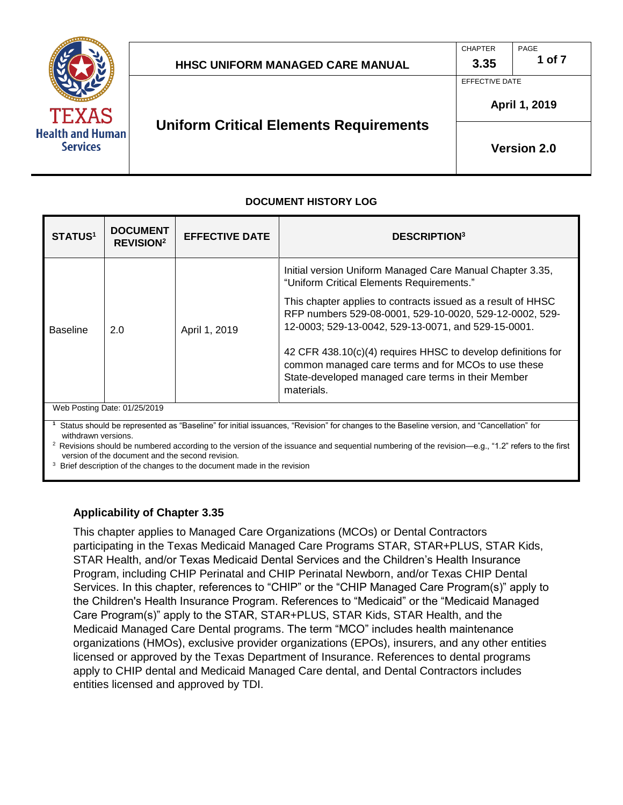

| <b>HHSC UNIFORM MANAGED CARE MANUAL</b> | 3.35 | 1 of 7 |
|-----------------------------------------|------|--------|
|                                         |      |        |

CHAPTER

PAGE

EFFECTIVE DATE

# **Uniform Critical Elements Requirements**

**Version 2.0** 

**April 1, 2019** 

### **DOCUMENT HISTORY LOG**

| <b>DOCUMENT</b><br><b>REVISION<sup>2</sup></b>                                                                                                                 | <b>EFFECTIVE DATE</b> | <b>DESCRIPTION3</b>                                                                                                                                                                     |  |
|----------------------------------------------------------------------------------------------------------------------------------------------------------------|-----------------------|-----------------------------------------------------------------------------------------------------------------------------------------------------------------------------------------|--|
| <b>Baseline</b><br>2.0                                                                                                                                         | April 1, 2019         | Initial version Uniform Managed Care Manual Chapter 3.35,<br>"Uniform Critical Elements Requirements."                                                                                  |  |
|                                                                                                                                                                |                       | This chapter applies to contracts issued as a result of HHSC<br>RFP numbers 529-08-0001, 529-10-0020, 529-12-0002, 529-<br>12-0003; 529-13-0042, 529-13-0071, and 529-15-0001.          |  |
|                                                                                                                                                                |                       | 42 CFR 438.10(c)(4) requires HHSC to develop definitions for<br>common managed care terms and for MCOs to use these<br>State-developed managed care terms in their Member<br>materials. |  |
| Web Posting Date: 01/25/2019                                                                                                                                   |                       |                                                                                                                                                                                         |  |
| Status should be represented as "Baseline" for initial issuances, "Revision" for changes to the Baseline version, and "Cancellation" for<br>withdrawn versions |                       |                                                                                                                                                                                         |  |
|                                                                                                                                                                |                       |                                                                                                                                                                                         |  |

<sup>2</sup> Revisions should be numbered according to the version of the issuance and sequential numbering of the revision—e.g., "1.2" refers to the first

version of the document and the second revision.<br><sup>3</sup> Brief description of the changes to the document made in the revision

#### **Applicability of Chapter 3.35**

 This chapter applies to Managed Care Organizations (MCOs) or Dental Contractors participating in the Texas Medicaid Managed Care Programs STAR, STAR+PLUS, STAR Kids, STAR Health, and/or Texas Medicaid Dental Services and the Children's Health Insurance Program, including CHIP Perinatal and CHIP Perinatal Newborn, and/or Texas CHIP Dental Services. In this chapter, references to "CHIP" or the "CHIP Managed Care Program(s)" apply to the Children's Health Insurance Program. References to "Medicaid" or the "Medicaid Managed Care Program(s)" apply to the STAR, STAR+PLUS, STAR Kids, STAR Health, and the Medicaid Managed Care Dental programs. The term "MCO" includes health maintenance organizations (HMOs), exclusive provider organizations (EPOs), insurers, and any other entities licensed or approved by the Texas Department of Insurance. References to dental programs apply to CHIP dental and Medicaid Managed Care dental, and Dental Contractors includes entities licensed and approved by TDI.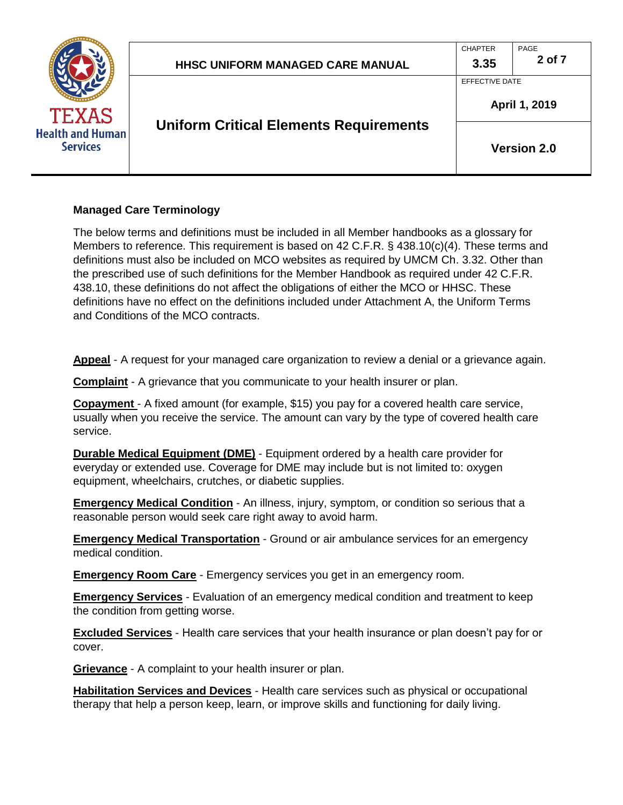

#### **Managed Care Terminology**

 The below terms and definitions must be included in all Member handbooks as a glossary for Members to reference. This requirement is based on 42 C.F.R. § 438.10(c)(4). These terms and definitions must also be included on MCO websites as required by UMCM Ch. 3.32. Other than the prescribed use of such definitions for the Member Handbook as required under 42 C.F.R. 438.10, these definitions do not affect the obligations of either the MCO or HHSC. These definitions have no effect on the definitions included under Attachment A, the Uniform Terms and Conditions of the MCO contracts.

**Appeal** - A request for your managed care organization to review a denial or a grievance again.

**Complaint** - A grievance that you communicate to your health insurer or plan.

 **Copayment** - A fixed amount (for example, \$15) you pay for a covered health care service, usually when you receive the service. The amount can vary by the type of covered health care service.

 **Durable Medical Equipment (DME)** - Equipment ordered by a health care provider for everyday or extended use. Coverage for DME may include but is not limited to: oxygen equipment, wheelchairs, crutches, or diabetic supplies.

**Emergency Medical Condition** - An illness, injury, symptom, or condition so serious that a reasonable person would seek care right away to avoid harm.

**Emergency Medical Transportation** - Ground or air ambulance services for an emergency medical condition.

**Emergency Room Care** - Emergency services you get in an emergency room.

 **Emergency Services** - Evaluation of an emergency medical condition and treatment to keep the condition from getting worse.

 **Excluded Services** - Health care services that your health insurance or plan doesn't pay for or cover.

**Grievance** - A complaint to your health insurer or plan.

 **Habilitation Services and Devices** - Health care services such as physical or occupational therapy that help a person keep, learn, or improve skills and functioning for daily living.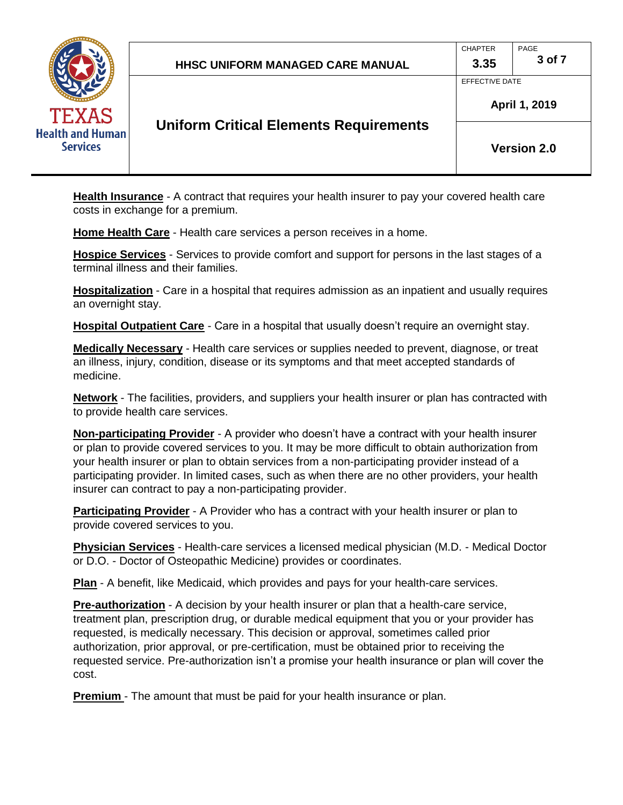

CHAPTER PAGE

EFFECTIVE DATE



### **Uniform Critical Elements Requirements**

**Version 2.0** 

**April 1, 2019** 

 **Health Insurance** - A contract that requires your health insurer to pay your covered health care costs in exchange for a premium.

**Home Health Care** - Health care services a person receives in a home.

 **Hospice Services** - Services to provide comfort and support for persons in the last stages of a terminal illness and their families.

 **Hospitalization** - Care in a hospital that requires admission as an inpatient and usually requires an overnight stay.

 **Hospital Outpatient Care** - Care in a hospital that usually doesn't require an overnight stay.

 **Medically Necessary** - Health care services or supplies needed to prevent, diagnose, or treat an illness, injury, condition, disease or its symptoms and that meet accepted standards of medicine.

 **Network** - The facilities, providers, and suppliers your health insurer or plan has contracted with to provide health care services.

 **Non-participating Provider** - A provider who doesn't have a contract with your health insurer or plan to provide covered services to you. It may be more difficult to obtain authorization from your health insurer or plan to obtain services from a non-participating provider instead of a participating provider. In limited cases, such as when there are no other providers, your health insurer can contract to pay a non-participating provider.

**Participating Provider** - A Provider who has a contract with your health insurer or plan to provide covered services to you.

 **Physician Services** - Health-care services a licensed medical physician (M.D. - Medical Doctor or D.O. - Doctor of Osteopathic Medicine) provides or coordinates.

**Plan** - A benefit, like Medicaid, which provides and pays for your health-care services.

 **Pre-authorization** - A decision by your health insurer or plan that a health-care service, treatment plan, prescription drug, or durable medical equipment that you or your provider has requested, is medically necessary. This decision or approval, sometimes called prior authorization, prior approval, or pre-certification, must be obtained prior to receiving the requested service. Pre-authorization isn't a promise your health insurance or plan will cover the cost.

**Premium** - The amount that must be paid for your health insurance or plan.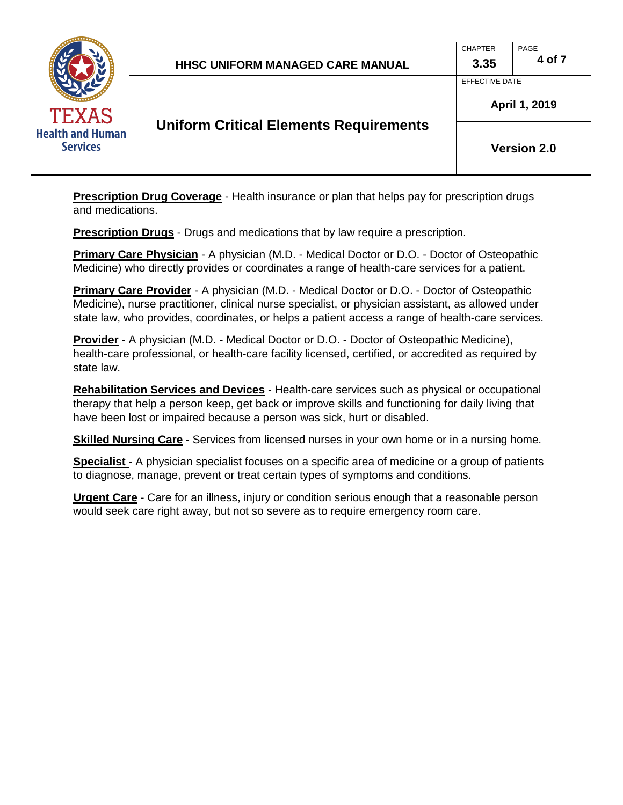

EFFECTIVE DATE

### **Uniform Critical Elements Requirements**

**Version 2.0** 

**April 1, 2019** 

 **Prescription Drug Coverage** - Health insurance or plan that helps pay for prescription drugs and medications.

**Prescription Drugs** - Drugs and medications that by law require a prescription.

 **Primary Care Physician** - A physician (M.D. - Medical Doctor or D.O. - Doctor of Osteopathic Medicine) who directly provides or coordinates a range of health-care services for a patient.

 **Primary Care Provider** - A physician (M.D. - Medical Doctor or D.O. - Doctor of Osteopathic Medicine), nurse practitioner, clinical nurse specialist, or physician assistant, as allowed under state law, who provides, coordinates, or helps a patient access a range of health-care services.

 **Provider** - A physician (M.D. - Medical Doctor or D.O. - Doctor of Osteopathic Medicine), health-care professional, or health-care facility licensed, certified, or accredited as required by state law.

 **Rehabilitation Services and Devices** - Health-care services such as physical or occupational therapy that help a person keep, get back or improve skills and functioning for daily living that have been lost or impaired because a person was sick, hurt or disabled.

**Skilled Nursing Care** - Services from licensed nurses in your own home or in a nursing home.

**Specialist** - A physician specialist focuses on a specific area of medicine or a group of patients to diagnose, manage, prevent or treat certain types of symptoms and conditions.

**Urgent Care** - Care for an illness, injury or condition serious enough that a reasonable person would seek care right away, but not so severe as to require emergency room care.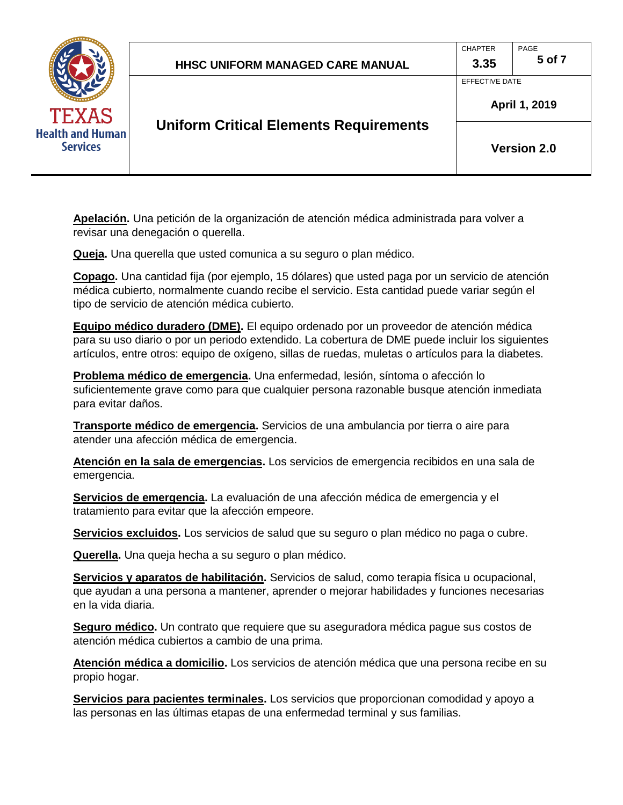

 **Apelación.** Una petición de la organización de atención médica administrada para volver a revisar una denegación o querella.

**Queja.** Una querella que usted comunica a su seguro o plan médico.

 **Copago.** Una cantidad fija (por ejemplo, 15 dólares) que usted paga por un servicio de atención médica cubierto, normalmente cuando recibe el servicio. Esta cantidad puede variar según el tipo de servicio de atención médica cubierto.

 **Equipo médico duradero (DME).** El equipo ordenado por un proveedor de atención médica para su uso diario o por un periodo extendido. La cobertura de DME puede incluir los siguientes artículos, entre otros: equipo de oxígeno, sillas de ruedas, muletas o artículos para la diabetes.

 **Problema médico de emergencia.** Una enfermedad, lesión, síntoma o afección lo suficientemente grave como para que cualquier persona razonable busque atención inmediata para evitar daños.

 **Transporte médico de emergencia.** Servicios de una ambulancia por tierra o aire para atender una afección médica de emergencia.

 **Atención en la sala de emergencias.** Los servicios de emergencia recibidos en una sala de emergencia.

**Servicios de emergencia.** La evaluación de una afección médica de emergencia y el tratamiento para evitar que la afección empeore.

**Servicios excluidos.** Los servicios de salud que su seguro o plan médico no paga o cubre.

**Querella.** Una queja hecha a su seguro o plan médico.

 **Servicios y aparatos de habilitación.** Servicios de salud, como terapia física u ocupacional, que ayudan a una persona a mantener, aprender o mejorar habilidades y funciones necesarias en la vida diaria.

 **Seguro médico.** Un contrato que requiere que su aseguradora médica pague sus costos de atención médica cubiertos a cambio de una prima.

 **Atención médica a domicilio.** Los servicios de atención médica que una persona recibe en su propio hogar.

 **Servicios para pacientes terminales.** Los servicios que proporcionan comodidad y apoyo a las personas en las últimas etapas de una enfermedad terminal y sus familias.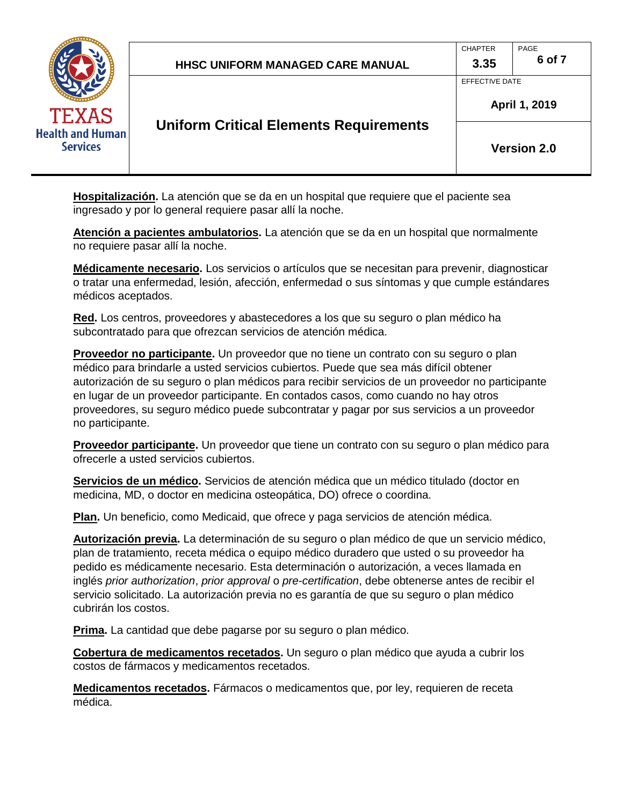

CHAPTER PAGE

EFFECTIVE DATE



## **Uniform Critical Elements Requirements**

**Version 2.0** 

**April 1, 2019** 

 **Hospitalización.** La atención que se da en un hospital que requiere que el paciente sea ingresado y por lo general requiere pasar allí la noche.

 **Atención a pacientes ambulatorios.** La atención que se da en un hospital que normalmente no requiere pasar allí la noche.

 **Médicamente necesario.** Los servicios o artículos que se necesitan para prevenir, diagnosticar o tratar una enfermedad, lesión, afección, enfermedad o sus síntomas y que cumple estándares médicos aceptados.

 **Red.** Los centros, proveedores y abastecedores a los que su seguro o plan médico ha subcontratado para que ofrezcan servicios de atención médica.

 **Proveedor no participante.** Un proveedor que no tiene un contrato con su seguro o plan médico para brindarle a usted servicios cubiertos. Puede que sea más difícil obtener autorización de su seguro o plan médicos para recibir servicios de un proveedor no participante en lugar de un proveedor participante. En contados casos, como cuando no hay otros proveedores, su seguro médico puede subcontratar y pagar por sus servicios a un proveedor no participante.

 **Proveedor participante.** Un proveedor que tiene un contrato con su seguro o plan médico para ofrecerle a usted servicios cubiertos.

 **Servicios de un médico.** Servicios de atención médica que un médico titulado (doctor en medicina, MD, o doctor en medicina osteopática, DO) ofrece o coordina.

**Plan.** Un beneficio, como Medicaid, que ofrece y paga servicios de atención médica.

 **Autorización previa.** La determinación de su seguro o plan médico de que un servicio médico, plan de tratamiento, receta médica o equipo médico duradero que usted o su proveedor ha pedido es médicamente necesario. Esta determinación o autorización, a veces llamada en inglés *prior authorization*, *prior approval* o *pre-certification*, debe obtenerse antes de recibir el servicio solicitado. La autorización previa no es garantía de que su seguro o plan médico cubrirán los costos.

**Prima.** La cantidad que debe pagarse por su seguro o plan médico.

 **Cobertura de medicamentos recetados.** Un seguro o plan médico que ayuda a cubrir los costos de fármacos y medicamentos recetados.

 **Medicamentos recetados.** Fármacos o medicamentos que, por ley, requieren de receta médica.